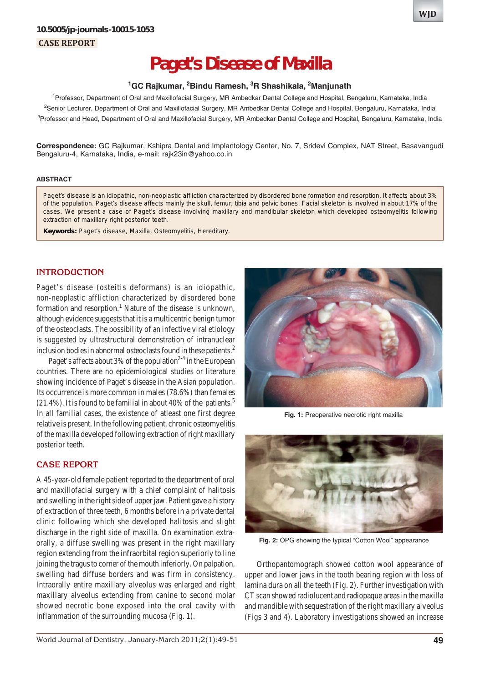# **Paget's Disease of Maxilla**

#### <sup>1</sup>GC Rajkumar, <sup>2</sup>Bindu Ramesh, <sup>3</sup>R Shashikala, <sup>2</sup>Manjunath

<sup>1</sup> Professor, Department of Oral and Maxillofacial Surgery, MR Ambedkar Dental College and Hospital, Bengaluru, Karnataka, India <sup>2</sup>Senior Lecturer, Department of Oral and Maxillofacial Surgery, MR Ambedkar Dental College and Hospital, Bengaluru, Karnataka, India <sup>3</sup>Professor and Head, Department of Oral and Maxillofacial Surgery, MR Ambedkar Dental College and Hospital, Bengaluru, Karnataka, India

**Correspondence:** GC Rajkumar, Kshipra Dental and Implantology Center, No. 7, Sridevi Complex, NAT Street, Basavangudi Bengaluru-4, Karnataka, India, e-mail: rajk23in@yahoo.co.in

#### **ABSTRACT**

Paget's disease is an idiopathic, non-neoplastic affliction characterized by disordered bone formation and resorption. It affects about 3% of the population. Paget's disease affects mainly the skull, femur, tibia and pelvic bones. Facial skeleton is involved in about 17% of the cases. We present a case of Paget's disease involving maxillary and mandibular skeleton which developed osteomyelitis following extraction of maxillary right posterior teeth.

**Keywords:** Paget's disease, Maxilla, Osteomyelitis, Hereditary.

## **INTRODUCTION**

Paget's disease (osteitis deformans) is an idiopathic, non-neoplastic affliction characterized by disordered bone formation and resorption.<sup>1</sup> Nature of the disease is unknown, although evidence suggests that it is a multicentric benign tumor of the osteoclasts. The possibility of an infective viral etiology is suggested by ultrastructural demonstration of intranuclear inclusion bodies in abnormal osteoclasts found in these patients.<sup>2</sup>

Paget's affects about 3% of the population<sup>2-4</sup> in the European countries. There are no epidemiological studies or literature showing incidence of Paget's disease in the Asian population. Its occurrence is more common in males (78.6%) than females  $(21.4\%)$ . It is found to be familial in about 40% of the patients.<sup>5</sup> In all familial cases, the existence of atleast one first degree relative is present. In the following patient, chronic osteomyelitis of the maxilla developed following extraction of right maxillary posterior teeth.

### **CASE REPORT**

A 45-year-old female patient reported to the department of oral and maxillofacial surgery with a chief complaint of halitosis and swelling in the right side of upper jaw. Patient gave a history of extraction of three teeth, 6 months before in a private dental clinic following which she developed halitosis and slight discharge in the right side of maxilla. On examination extraorally, a diffuse swelling was present in the right maxillary region extending from the infraorbital region superiorly to line joining the tragus to corner of the mouth inferiorly. On palpation, swelling had diffuse borders and was firm in consistency. Intraorally entire maxillary alveolus was enlarged and right maxillary alveolus extending from canine to second molar showed necrotic bone exposed into the oral cavity with inflammation of the surrounding mucosa (Fig. 1).



**Fig. 1:** Preoperative necrotic right maxilla



**Fig. 2:** OPG showing the typical "Cotton Wool" appearance

Orthopantomograph showed cotton wool appearance of upper and lower jaws in the tooth bearing region with loss of lamina dura on all the teeth (Fig. 2). Further investigation with CT scan showed radiolucent and radiopaque areas in the maxilla and mandible with sequestration of the right maxillary alveolus (Figs 3 and 4). Laboratory investigations showed an increase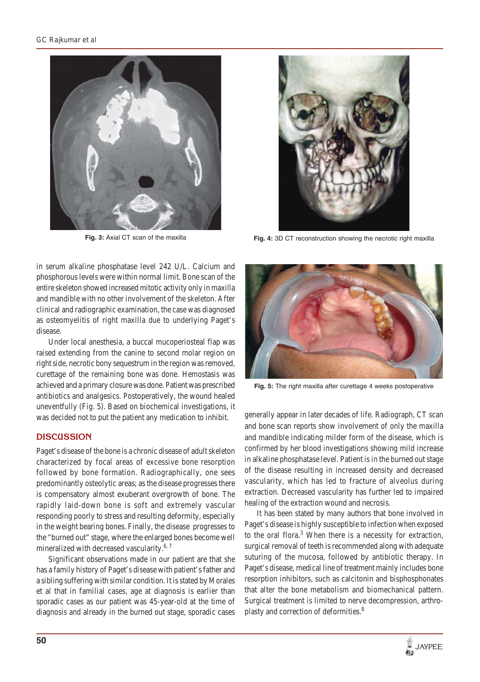



**Fig. 3:** Axial CT scan of the maxilla **Fig. 4:** 3D CT reconstruction showing the necrotic right maxilla

in serum alkaline phosphatase level 242 U/L. Calcium and phosphorous levels were within normal limit. Bone scan of the entire skeleton showed increased mitotic activity only in maxilla and mandible with no other involvement of the skeleton. After clinical and radiographic examination, the case was diagnosed as osteomyelitis of right maxilla due to underlying Paget's disease.

Under local anesthesia, a buccal mucoperiosteal flap was raised extending from the canine to second molar region on right side, necrotic bony sequestrum in the region was removed, curettage of the remaining bone was done. Hemostasis was achieved and a primary closure was done. Patient was prescribed antibiotics and analgesics. Postoperatively, the wound healed uneventfully (Fig. 5). Based on biochemical investigations, it was decided not to put the patient any medication to inhibit.

### **DISCUSSION**

Paget's disease of the bone is a chronic disease of adult skeleton characterized by focal areas of excessive bone resorption followed by bone formation. Radiographically, one sees predominantly osteolytic areas; as the disease progresses there is compensatory almost exuberant overgrowth of bone. The rapidly laid-down bone is soft and extremely vascular responding poorly to stress and resulting deformity, especially in the weight bearing bones. Finally, the disease progresses to the "burned out" stage, where the enlarged bones become well mineralized with decreased vascularity.<sup>6, 7</sup>

Significant observations made in our patient are that she has a family history of Paget's disease with patient's father and a sibling suffering with similar condition. It is stated by Morales et al that in familial cases, age at diagnosis is earlier than sporadic cases as our patient was 45-year-old at the time of diagnosis and already in the burned out stage, sporadic cases



**Fig. 5:** The right maxilla after curettage 4 weeks postoperative

generally appear in later decades of life. Radiograph, CT scan and bone scan reports show involvement of only the maxilla and mandible indicating milder form of the disease, which is confirmed by her blood investigations showing mild increase in alkaline phosphatase level. Patient is in the burned out stage of the disease resulting in increased density and decreased vascularity, which has led to fracture of alveolus during extraction. Decreased vascularity has further led to impaired healing of the extraction wound and necrosis.

It has been stated by many authors that bone involved in Paget's disease is highly susceptible to infection when exposed to the oral flora.<sup>3</sup> When there is a necessity for extraction, surgical removal of teeth is recommended along with adequate suturing of the mucosa, followed by antibiotic therapy. In Paget's disease, medical line of treatment mainly includes bone resorption inhibitors, such as calcitonin and bisphosphonates that alter the bone metabolism and biomechanical pattern. Surgical treatment is limited to nerve decompression, arthroplasty and correction of deformities.<sup>8</sup>